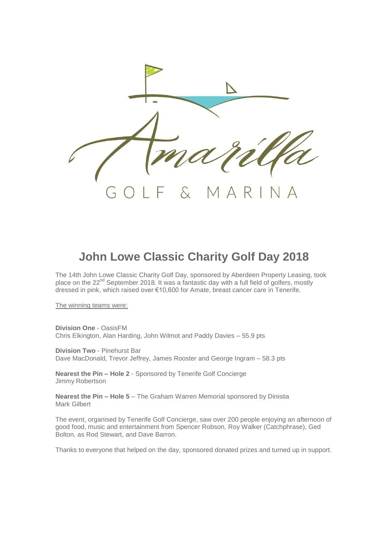

## **John Lowe Classic Charity Golf Day 2018**

The 14th John Lowe Classic Charity Golf Day, sponsored by Aberdeen Property Leasing, took place on the 22<sup>nd</sup> September 2018. It was a fantastic day with a full field of golfers, mostly dressed in pink, which raised over €10,600 for Amate, breast cancer care in Tenerife.

The winning teams were:

**Division One** - OasisFM Chris Elkington, Alan Harding, John Wilmot and Paddy Davies – 55.9 pts

**Division Two** - Pinehurst Bar Dave MacDonald, Trevor Jeffrey, James Rooster and George Ingram – 58.3 pts

**Nearest the Pin – Hole 2** - Sponsored by Tenerife Golf Concierge Jimmy Robertson

**Nearest the Pin – Hole 5** – The Graham Warren Memorial sponsored by Dinistia Mark Gilbert

The event, organised by Tenerife Golf Concierge, saw over 200 people enjoying an afternoon of good food, music and entertainment from Spencer Robson, Roy Walker (Catchphrase), Ged Bolton, as Rod Stewart, and Dave Barron.

Thanks to everyone that helped on the day, sponsored donated prizes and turned up in support.